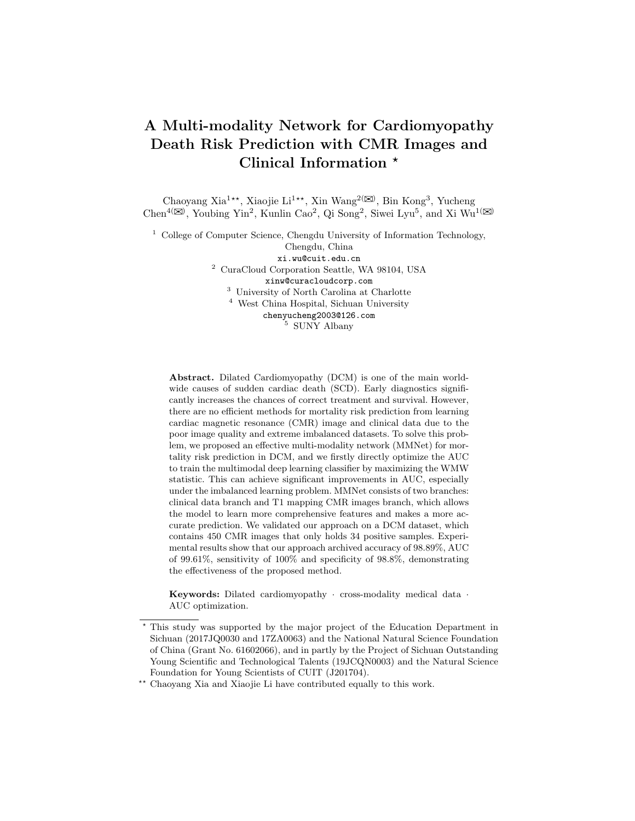# A Multi-modality Network for Cardiomyopathy Death Risk Prediction with CMR Images and Clinical Information  $*$

Chaoyang Xia<sup>1\*\*</sup>, Xiaojie Li<sup>1\*\*</sup>, Xin Wang<sup>2( $\boxtimes$ )</sup>, Bin Kong<sup>3</sup>, Yucheng Chen<sup>4( $\boxtimes$ )</sup>, Youbing Yin<sup>2</sup>, Kunlin Cao<sup>2</sup>, Qi Song<sup>2</sup>, Siwei Lyu<sup>5</sup>, and Xi Wu<sup>1( $\boxtimes$ )</sup>

<sup>1</sup> College of Computer Science, Chengdu University of Information Technology,

Chengdu, China xi.wu@cuit.edu.cn <sup>2</sup> CuraCloud Corporation Seattle, WA 98104, USA xinw@curacloudcorp.com <sup>3</sup> University of North Carolina at Charlotte <sup>4</sup> West China Hospital, Sichuan University chenyucheng2003@126.com

<sup>5</sup> SUNY Albany

Abstract. Dilated Cardiomyopathy (DCM) is one of the main worldwide causes of sudden cardiac death (SCD). Early diagnostics significantly increases the chances of correct treatment and survival. However, there are no efficient methods for mortality risk prediction from learning cardiac magnetic resonance (CMR) image and clinical data due to the poor image quality and extreme imbalanced datasets. To solve this problem, we proposed an effective multi-modality network (MMNet) for mortality risk prediction in DCM, and we firstly directly optimize the AUC to train the multimodal deep learning classifier by maximizing the WMW statistic. This can achieve significant improvements in AUC, especially under the imbalanced learning problem. MMNet consists of two branches: clinical data branch and T1 mapping CMR images branch, which allows the model to learn more comprehensive features and makes a more accurate prediction. We validated our approach on a DCM dataset, which contains 450 CMR images that only holds 34 positive samples. Experimental results show that our approach archived accuracy of 98.89%, AUC of 99.61%, sensitivity of 100% and specificity of 98.8%, demonstrating the effectiveness of the proposed method.

Keywords: Dilated cardiomyopathy · cross-modality medical data · AUC optimization.

<sup>?</sup> This study was supported by the major project of the Education Department in Sichuan (2017JQ0030 and 17ZA0063) and the National Natural Science Foundation of China (Grant No. 61602066), and in partly by the Project of Sichuan Outstanding Young Scientific and Technological Talents (19JCQN0003) and the Natural Science Foundation for Young Scientists of CUIT (J201704).

<sup>\*\*</sup> Chaoyang Xia and Xiaojie Li have contributed equally to this work.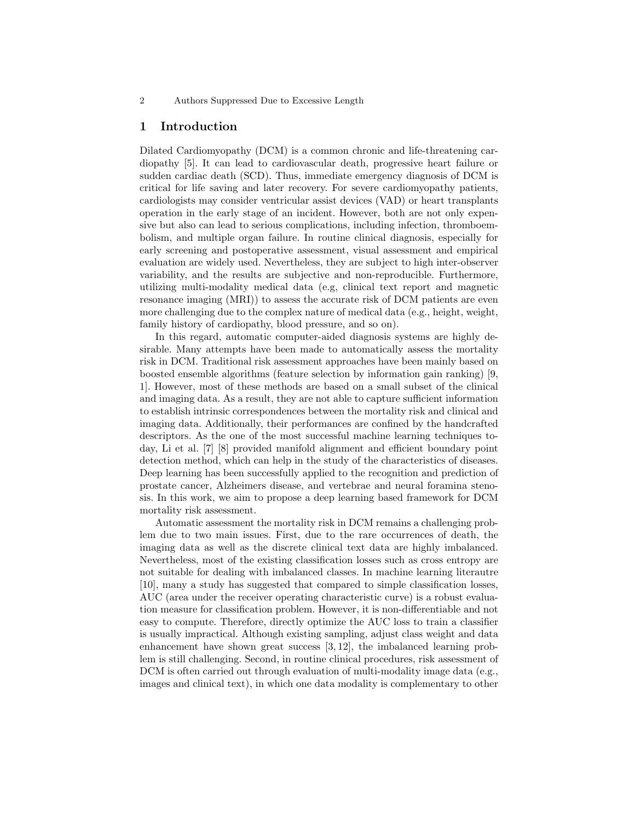#### 2 Authors Suppressed Due to Excessive Length

### 1 Introduction

Dilated Cardiomyopathy (DCM) is a common chronic and life-threatening cardiopathy [5]. It can lead to cardiovascular death, progressive heart failure or sudden cardiac death (SCD). Thus, immediate emergency diagnosis of DCM is critical for life saving and later recovery. For severe cardiomyopathy patients, cardiologists may consider ventricular assist devices (VAD) or heart transplants operation in the early stage of an incident. However, both are not only expensive but also can lead to serious complications, including infection, thromboembolism, and multiple organ failure. In routine clinical diagnosis, especially for early screening and postoperative assessment, visual assessment and empirical evaluation are widely used. Nevertheless, they are subject to high inter-observer variability, and the results are subjective and non-reproducible. Furthermore, utilizing multi-modality medical data (e.g, clinical text report and magnetic resonance imaging (MRI)) to assess the accurate risk of DCM patients are even more challenging due to the complex nature of medical data (e.g., height, weight, family history of cardiopathy, blood pressure, and so on).

In this regard, automatic computer-aided diagnosis systems are highly desirable. Many attempts have been made to automatically assess the mortality risk in DCM. Traditional risk assessment approaches have been mainly based on boosted ensemble algorithms (feature selection by information gain ranking) [9, 1]. However, most of these methods are based on a small subset of the clinical and imaging data. As a result, they are not able to capture sufficient information to establish intrinsic correspondences between the mortality risk and clinical and imaging data. Additionally, their performances are confined by the handcrafted descriptors. As the one of the most successful machine learning techniques today, Li et al. [7] [8] provided manifold alignment and efficient boundary point detection method, which can help in the study of the characteristics of diseases. Deep learning has been successfully applied to the recognition and prediction of prostate cancer, Alzheimers disease, and vertebrae and neural foramina stenosis. In this work, we aim to propose a deep learning based framework for DCM mortality risk assessment.

Automatic assessment the mortality risk in DCM remains a challenging problem due to two main issues. First, due to the rare occurrences of death, the imaging data as well as the discrete clinical text data are highly imbalanced. Nevertheless, most of the existing classification losses such as cross entropy are not suitable for dealing with imbalanced classes. In machine learning literautre [10], many a study has suggested that compared to simple classification losses, AUC (area under the receiver operating characteristic curve) is a robust evaluation measure for classification problem. However, it is non-differentiable and not easy to compute. Therefore, directly optimize the AUC loss to train a classifier is usually impractical. Although existing sampling, adjust class weight and data enhancement have shown great success [3, 12], the imbalanced learning problem is still challenging. Second, in routine clinical procedures, risk assessment of DCM is often carried out through evaluation of multi-modality image data (e.g., images and clinical text), in which one data modality is complementary to other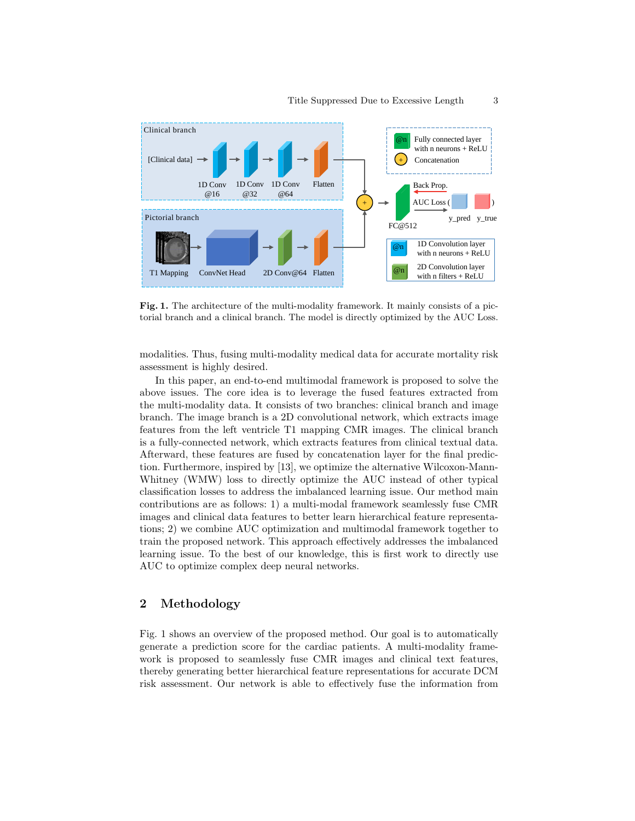

Fig. 1. The architecture of the multi-modality framework. It mainly consists of a pictorial branch and a clinical branch. The model is directly optimized by the AUC Loss.

modalities. Thus, fusing multi-modality medical data for accurate mortality risk assessment is highly desired.

In this paper, an end-to-end multimodal framework is proposed to solve the above issues. The core idea is to leverage the fused features extracted from the multi-modality data. It consists of two branches: clinical branch and image branch. The image branch is a 2D convolutional network, which extracts image features from the left ventricle T1 mapping CMR images. The clinical branch is a fully-connected network, which extracts features from clinical textual data. Afterward, these features are fused by concatenation layer for the final prediction. Furthermore, inspired by [13], we optimize the alternative Wilcoxon-Mann-Whitney (WMW) loss to directly optimize the AUC instead of other typical classification losses to address the imbalanced learning issue. Our method main contributions are as follows: 1) a multi-modal framework seamlessly fuse CMR images and clinical data features to better learn hierarchical feature representations; 2) we combine AUC optimization and multimodal framework together to train the proposed network. This approach effectively addresses the imbalanced learning issue. To the best of our knowledge, this is first work to directly use AUC to optimize complex deep neural networks.

# 2 Methodology

Fig. 1 shows an overview of the proposed method. Our goal is to automatically generate a prediction score for the cardiac patients. A multi-modality framework is proposed to seamlessly fuse CMR images and clinical text features, thereby generating better hierarchical feature representations for accurate DCM risk assessment. Our network is able to effectively fuse the information from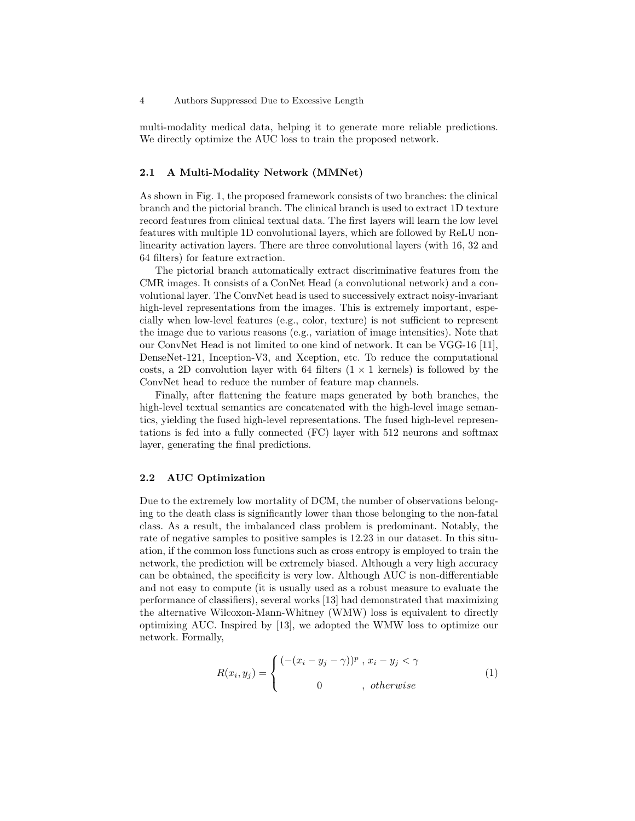multi-modality medical data, helping it to generate more reliable predictions. We directly optimize the AUC loss to train the proposed network.

#### 2.1 A Multi-Modality Network (MMNet)

As shown in Fig. 1, the proposed framework consists of two branches: the clinical branch and the pictorial branch. The clinical branch is used to extract 1D texture record features from clinical textual data. The first layers will learn the low level features with multiple 1D convolutional layers, which are followed by ReLU nonlinearity activation layers. There are three convolutional layers (with 16, 32 and 64 filters) for feature extraction.

The pictorial branch automatically extract discriminative features from the CMR images. It consists of a ConNet Head (a convolutional network) and a convolutional layer. The ConvNet head is used to successively extract noisy-invariant high-level representations from the images. This is extremely important, especially when low-level features (e.g., color, texture) is not sufficient to represent the image due to various reasons (e.g., variation of image intensities). Note that our ConvNet Head is not limited to one kind of network. It can be VGG-16 [11], DenseNet-121, Inception-V3, and Xception, etc. To reduce the computational costs, a 2D convolution layer with 64 filters  $(1 \times 1$  kernels) is followed by the ConvNet head to reduce the number of feature map channels.

Finally, after flattening the feature maps generated by both branches, the high-level textual semantics are concatenated with the high-level image semantics, yielding the fused high-level representations. The fused high-level representations is fed into a fully connected (FC) layer with 512 neurons and softmax layer, generating the final predictions.

#### 2.2 AUC Optimization

Due to the extremely low mortality of DCM, the number of observations belonging to the death class is significantly lower than those belonging to the non-fatal class. As a result, the imbalanced class problem is predominant. Notably, the rate of negative samples to positive samples is 12.23 in our dataset. In this situation, if the common loss functions such as cross entropy is employed to train the network, the prediction will be extremely biased. Although a very high accuracy can be obtained, the specificity is very low. Although AUC is non-differentiable and not easy to compute (it is usually used as a robust measure to evaluate the performance of classifiers), several works [13] had demonstrated that maximizing the alternative Wilcoxon-Mann-Whitney (WMW) loss is equivalent to directly optimizing AUC. Inspired by [13], we adopted the WMW loss to optimize our network. Formally,

$$
R(x_i, y_j) = \begin{cases} \left( -(x_i - y_j - \gamma) \right)^p, \, x_i - y_j < \gamma \\ 0, \, \text{otherwise} \end{cases} \tag{1}
$$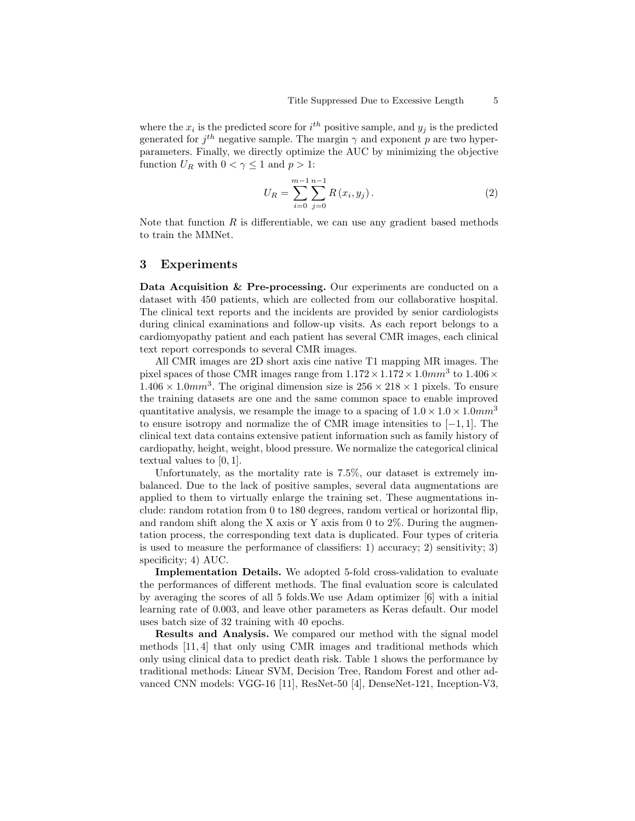where the  $x_i$  is the predicted score for  $i^{th}$  positive sample, and  $y_j$  is the predicted generated for  $j^{th}$  negative sample. The margin  $\gamma$  and exponent p are two hyperparameters. Finally, we directly optimize the AUC by minimizing the objective function  $U_R$  with  $0 < \gamma \leq 1$  and  $p > 1$ :

$$
U_R = \sum_{i=0}^{m-1} \sum_{j=0}^{n-1} R(x_i, y_j).
$$
 (2)

Note that function  $R$  is differentiable, we can use any gradient based methods to train the MMNet.

## 3 Experiments

Data Acquisition & Pre-processing. Our experiments are conducted on a dataset with 450 patients, which are collected from our collaborative hospital. The clinical text reports and the incidents are provided by senior cardiologists during clinical examinations and follow-up visits. As each report belongs to a cardiomyopathy patient and each patient has several CMR images, each clinical text report corresponds to several CMR images.

All CMR images are 2D short axis cine native T1 mapping MR images. The pixel spaces of those CMR images range from  $1.172 \times 1.172 \times 1.0mm^3$  to  $1.406 \times$  $1.406 \times 1.0mm^3$ . The original dimension size is  $256 \times 218 \times 1$  pixels. To ensure the training datasets are one and the same common space to enable improved quantitative analysis, we resample the image to a spacing of  $1.0 \times 1.0 \times 1.0$  mm<sup>3</sup> to ensure isotropy and normalize the of CMR image intensities to  $[-1, 1]$ . The clinical text data contains extensive patient information such as family history of cardiopathy, height, weight, blood pressure. We normalize the categorical clinical textual values to  $[0, 1]$ .

Unfortunately, as the mortality rate is 7.5%, our dataset is extremely imbalanced. Due to the lack of positive samples, several data augmentations are applied to them to virtually enlarge the training set. These augmentations include: random rotation from 0 to 180 degrees, random vertical or horizontal flip, and random shift along the X axis or Y axis from 0 to 2%. During the augmentation process, the corresponding text data is duplicated. Four types of criteria is used to measure the performance of classifiers: 1) accuracy; 2) sensitivity; 3) specificity; 4) AUC.

Implementation Details. We adopted 5-fold cross-validation to evaluate the performances of different methods. The final evaluation score is calculated by averaging the scores of all 5 folds.We use Adam optimizer [6] with a initial learning rate of 0.003, and leave other parameters as Keras default. Our model uses batch size of 32 training with 40 epochs.

Results and Analysis. We compared our method with the signal model methods [11, 4] that only using CMR images and traditional methods which only using clinical data to predict death risk. Table 1 shows the performance by traditional methods: Linear SVM, Decision Tree, Random Forest and other advanced CNN models: VGG-16 [11], ResNet-50 [4], DenseNet-121, Inception-V3,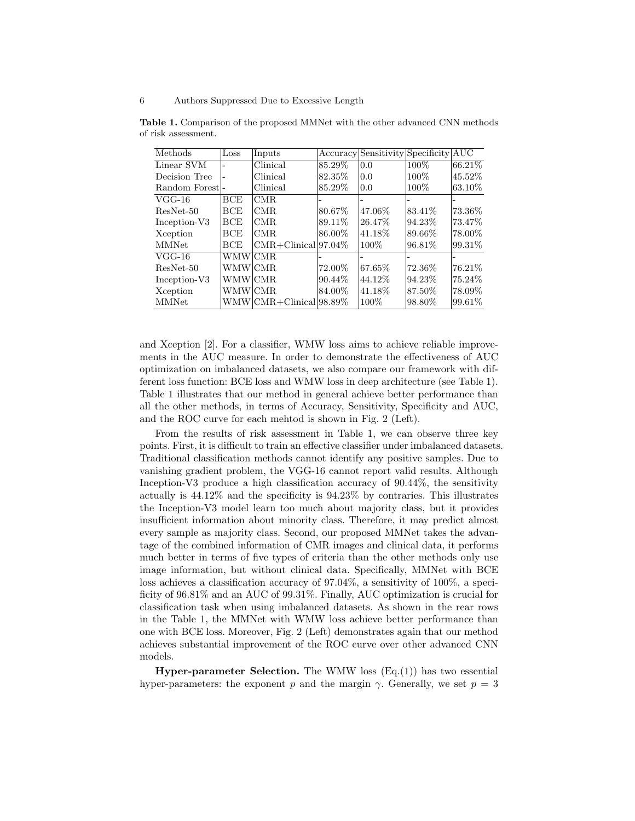| Methods        | Loss       | Inputs                  |           | Accuracy Sensitivity Specificity AUC |         |         |
|----------------|------------|-------------------------|-----------|--------------------------------------|---------|---------|
| Linear SVM     |            | Clinical                | $85.29\%$ | 0.0                                  | 100%    | 66.21%  |
| Decision Tree  |            | Clinical                | 82.35\%   | 0.0                                  | 100\%   | 45.52%  |
| Random Forest- |            | Clinical                | 85.29%    | 0.0                                  | 100\%   | 63.10%  |
| $VGG-16$       | <b>BCE</b> | CMR.                    |           |                                      |         |         |
| ResNet-50      | BCE        | CMR.                    | 80.67\%   | 47.06%                               | 83.41\% | 73.36\% |
| Inception-V3   | <b>BCE</b> | CMR                     | 89.11\%   | 26.47\%                              | 94.23%  | 73.47\% |
| Xception       | BCE        | ICMR.                   | 86.00%    | 41.18%                               | 89.66%  | 78.00%  |
| <b>MMNet</b>   | <b>BCE</b> | $CMR+Clinical 97.04\%$  |           | 100\%                                | 96.81\% | 99.31\% |
| $VGG-16$       | WMWlCMR.   |                         |           |                                      |         |         |
| ResNet-50      | WMW CMR    |                         | 72.00%    | 67.65%                               | 72.36\% | 76.21%  |
| Inception-V3   | WMW CMR    |                         | 90.44\%   | 44.12\%                              | 94.23%  | 75.24%  |
| Xception       | WMW CMR    |                         | 84.00%    | 41.18%                               | 87.50%  | 78.09%  |
| <b>MMNet</b>   |            | WMW CMR+Clinical 98.89% |           | 100\%                                | 98.80%  | 99.61\% |

Table 1. Comparison of the proposed MMNet with the other advanced CNN methods of risk assessment.

and Xception [2]. For a classifier, WMW loss aims to achieve reliable improvements in the AUC measure. In order to demonstrate the effectiveness of AUC optimization on imbalanced datasets, we also compare our framework with different loss function: BCE loss and WMW loss in deep architecture (see Table 1). Table 1 illustrates that our method in general achieve better performance than all the other methods, in terms of Accuracy, Sensitivity, Specificity and AUC, and the ROC curve for each mehtod is shown in Fig. 2 (Left).

From the results of risk assessment in Table 1, we can observe three key points. First, it is difficult to train an effective classifier under imbalanced datasets. Traditional classification methods cannot identify any positive samples. Due to vanishing gradient problem, the VGG-16 cannot report valid results. Although Inception-V3 produce a high classification accuracy of 90.44%, the sensitivity actually is 44.12% and the specificity is 94.23% by contraries. This illustrates the Inception-V3 model learn too much about majority class, but it provides insufficient information about minority class. Therefore, it may predict almost every sample as majority class. Second, our proposed MMNet takes the advantage of the combined information of CMR images and clinical data, it performs much better in terms of five types of criteria than the other methods only use image information, but without clinical data. Specifically, MMNet with BCE loss achieves a classification accuracy of 97.04%, a sensitivity of 100%, a specificity of 96.81% and an AUC of 99.31%. Finally, AUC optimization is crucial for classification task when using imbalanced datasets. As shown in the rear rows in the Table 1, the MMNet with WMW loss achieve better performance than one with BCE loss. Moreover, Fig. 2 (Left) demonstrates again that our method achieves substantial improvement of the ROC curve over other advanced CNN models.

**Hyper-parameter Selection.** The WMW loss  $(Eq.(1))$  has two essential hyper-parameters: the exponent p and the margin  $\gamma$ . Generally, we set  $p = 3$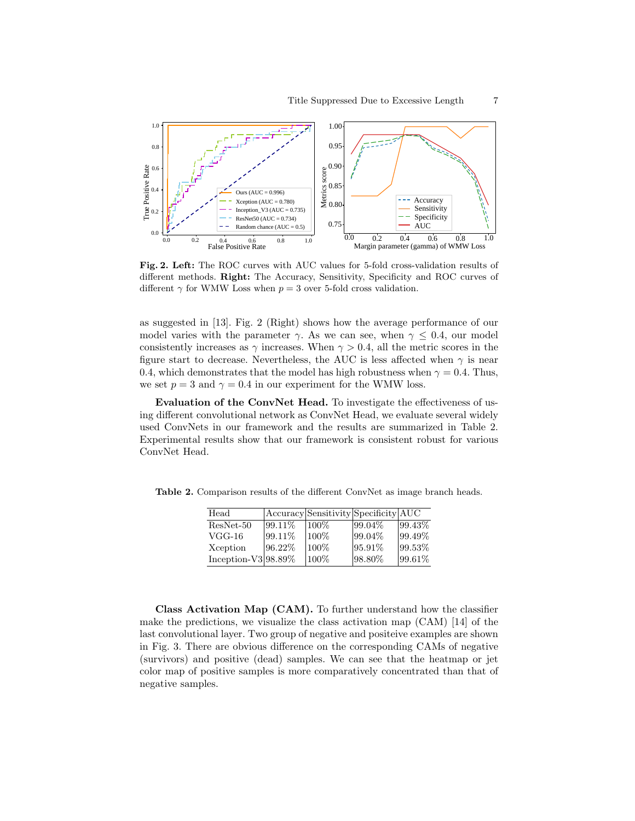

Fig. 2. Left: The ROC curves with AUC values for 5-fold cross-validation results of different methods. Right: The Accuracy, Sensitivity, Specificity and ROC curves of different  $\gamma$  for WMW Loss when  $p = 3$  over 5-fold cross validation.

as suggested in [13]. Fig. 2 (Right) shows how the average performance of our model varies with the parameter  $\gamma$ . As we can see, when  $\gamma \leq 0.4$ , our model consistently increases as  $\gamma$  increases. When  $\gamma > 0.4$ , all the metric scores in the figure start to decrease. Nevertheless, the AUC is less affected when  $\gamma$  is near 0.4, which demonstrates that the model has high robustness when  $\gamma = 0.4$ . Thus, we set  $p = 3$  and  $\gamma = 0.4$  in our experiment for the WMW loss.

Evaluation of the ConvNet Head. To investigate the effectiveness of using different convolutional network as ConvNet Head, we evaluate several widely used ConvNets in our framework and the results are summarized in Table 2. Experimental results show that our framework is consistent robust for various ConvNet Head.

Table 2. Comparison results of the different ConvNet as image branch heads.

| Head                    |         | Accuracy Sensitivity Specificity AUC |         |            |
|-------------------------|---------|--------------------------------------|---------|------------|
| $ResNet-50$             | 99.11\% | $100\%$                              | 99.04%  | $ 99.43\%$ |
| $VGG-16$                | 99.11\% | 100%                                 | 99.04%  | 99.49%     |
| Xception                | 96.22%  | 100%                                 | 95.91\% | $ 99.53\%$ |
| Inception- $V3 98.89\%$ |         | 100%                                 | 98.80%  | $ 99.61\%$ |

Class Activation Map (CAM). To further understand how the classifier make the predictions, we visualize the class activation map (CAM) [14] of the last convolutional layer. Two group of negative and positeive examples are shown in Fig. 3. There are obvious difference on the corresponding CAMs of negative (survivors) and positive (dead) samples. We can see that the heatmap or jet color map of positive samples is more comparatively concentrated than that of negative samples.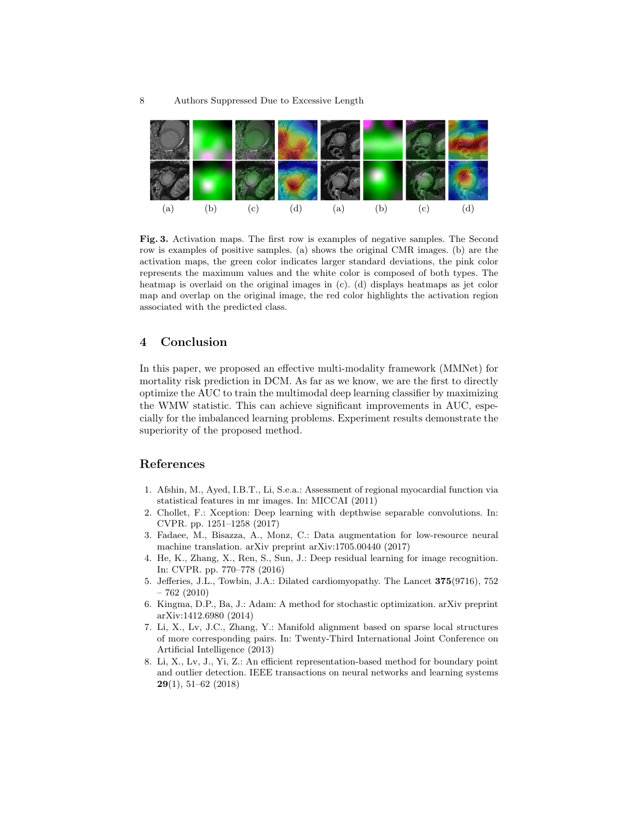

Fig. 3. Activation maps. The first row is examples of negative samples. The Second row is examples of positive samples. (a) shows the original CMR images. (b) are the activation maps, the green color indicates larger standard deviations, the pink color represents the maximum values and the white color is composed of both types. The heatmap is overlaid on the original images in (c). (d) displays heatmaps as jet color map and overlap on the original image, the red color highlights the activation region associated with the predicted class.

## 4 Conclusion

In this paper, we proposed an effective multi-modality framework (MMNet) for mortality risk prediction in DCM. As far as we know, we are the first to directly optimize the AUC to train the multimodal deep learning classifier by maximizing the WMW statistic. This can achieve significant improvements in AUC, especially for the imbalanced learning problems. Experiment results demonstrate the superiority of the proposed method.

## References

- 1. Afshin, M., Ayed, I.B.T., Li, S.e.a.: Assessment of regional myocardial function via statistical features in mr images. In: MICCAI (2011)
- 2. Chollet, F.: Xception: Deep learning with depthwise separable convolutions. In: CVPR. pp. 1251–1258 (2017)
- 3. Fadaee, M., Bisazza, A., Monz, C.: Data augmentation for low-resource neural machine translation. arXiv preprint arXiv:1705.00440 (2017)
- 4. He, K., Zhang, X., Ren, S., Sun, J.: Deep residual learning for image recognition. In: CVPR. pp. 770–778 (2016)
- 5. Jefferies, J.L., Towbin, J.A.: Dilated cardiomyopathy. The Lancet 375(9716), 752 – 762 (2010)
- 6. Kingma, D.P., Ba, J.: Adam: A method for stochastic optimization. arXiv preprint arXiv:1412.6980 (2014)
- 7. Li, X., Lv, J.C., Zhang, Y.: Manifold alignment based on sparse local structures of more corresponding pairs. In: Twenty-Third International Joint Conference on Artificial Intelligence (2013)
- 8. Li, X., Lv, J., Yi, Z.: An efficient representation-based method for boundary point and outlier detection. IEEE transactions on neural networks and learning systems 29(1), 51–62 (2018)